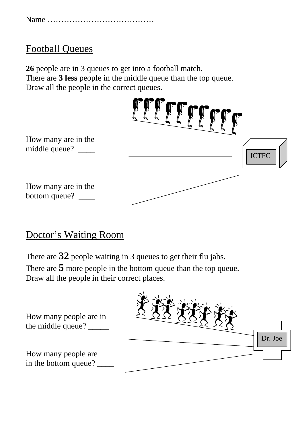|--|--|

## Football Queues

**26** people are in 3 queues to get into a football match. There are **3 less** people in the middle queue than the top queue. Draw all the people in the correct queues.



#### Doctor's Waiting Room

There are **32** people waiting in 3 queues to get their flu jabs.

There are **5** more people in the bottom queue than the top queue. Draw all the people in their correct places.